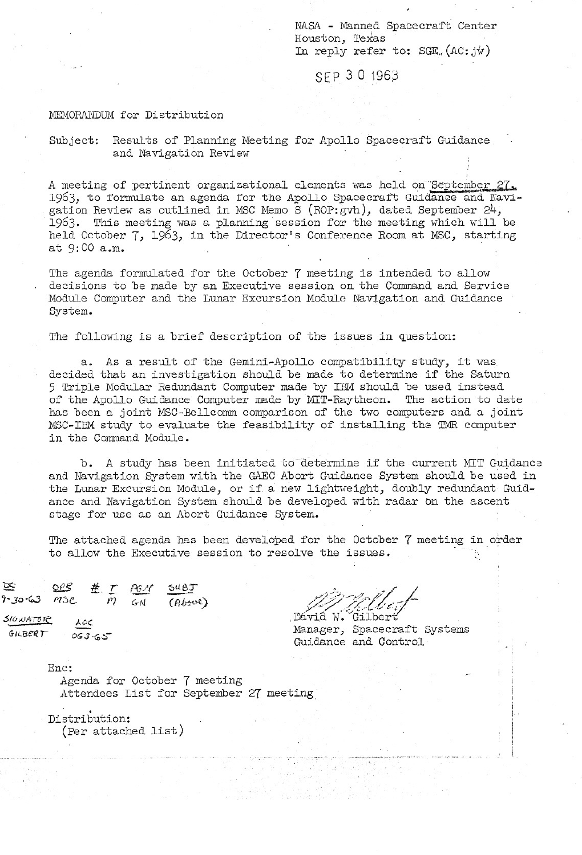NASA - Manned Spacecraft Center Houston, TeXas In reply refer to:  $SGE$ ,  $(AC:jw)$ 

### SEP 30 1963

#### MEMORANDUM for Distribution

### Subject: Results of Planning Meeting for Apollo Spacecraft Guidance and Navigation Review

A meeting of pertinent organizational elements was held on September 27, 1963, to formulate an agenda for the Apollo Spacecraft Guidance and Navigation Review as outlined in MSC Memo S (ROP:gVh), dated September 24, 1963. This meeting was a planning session for the meeting which will be held October 7, 1963, in the Director's Conference Room at MSC, starting at 9:00 a.m.

The agenda formulated for the October 7 meeting is intended to allow decisions to be made by an Executive session on the Command and. Service Module Computer and the Lunar Excursion Module Navigation and Guidance System.

The following is a brief description of the issues in question:

a. As a result of the Gemini-Apollo compatibility study, it was. decided that an investigation should be made to determine if the Saturn 5 Triple Modular Redundant Computer made by IBM should be used instead of the Apollo Guidance Computer made by MIT-Raytheon. The action to date has been a joint MSC-Bellcomm comparison of the two computers and a joint MSC-IBM study to evaluate the feasibility of installing the TMR computer in the Command Module.

b. A study has been initiated to determine if the current MIT Guidance and Navigation System with the GAEL Abort Guidance System should be used in the Lunar Excursion Module, or if. a new lightweight, doubly redundant Guidance and Navigation System should be developed with radar On the ascent stage for use as an Abort Guidance System.

The attached agenda has been developed for the October 7 meeting in order to allow the Executive session to resolve the issues.

 $\frac{D \times 30^{16} \times 3405}{500}$ <br>9-30.63  $M_{\odot}$   $\frac{d}{D}$   $\frac{d}{d}$   $\frac{G}{d}$   $\frac{G}{d}$   $\frac{G}{d}$   $\frac{G}{d}$   $\frac{G}{d}$   $\frac{G}{d}$  $P$ -30.63 *PTSC PT* GN (Above)  $\frac{P}{P}$ 

 $516 \omega A \tau \epsilon R$  ,  $\lambda \rho c$  ,  $\lambda \rho c$  ,  $\Delta \rho c$  ,  $\Delta \rho c$  ,  $\Delta \rho c$  ,  $\Delta \rho c$  ,  $\Delta \rho c$ Manager, Spacecraft Systems Guidance and Control

Enc:

GILBERT  $063-65$ 

Agenda for October 7 meeting Attendees List for September 27 meeting

Distribution: (Per attached list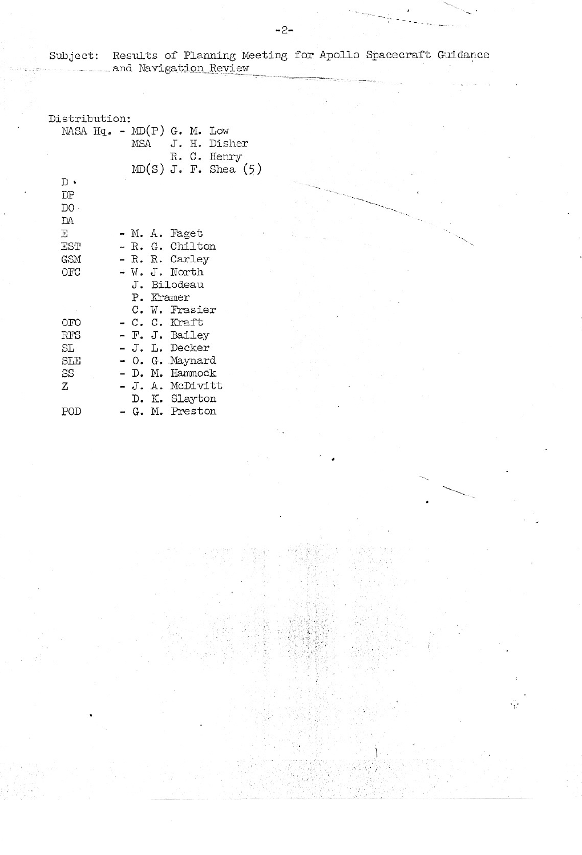|  |  |  |  | Subject: Results of Planning Meeting for Apollo Spacecraft Guidance |  |
|--|--|--|--|---------------------------------------------------------------------|--|
|  |  |  |  |                                                                     |  |

| Distribution:                 |  |                  |  |                          |  |
|-------------------------------|--|------------------|--|--------------------------|--|
| NASA Hq. - MD $(P)$ G. M. Low |  |                  |  |                          |  |
|                               |  |                  |  | MSA J. H. Disher         |  |
|                               |  |                  |  | R. C. Henry              |  |
|                               |  |                  |  | $MD(S)$ J. F. Shea $(5)$ |  |
| $_{\rm D}$ .                  |  |                  |  |                          |  |
| DP                            |  |                  |  |                          |  |
| DO.                           |  |                  |  |                          |  |
| DA                            |  |                  |  |                          |  |
| Е                             |  | - M. A. Faget    |  |                          |  |
| EST                           |  | - R. G. Chilton  |  |                          |  |
| GSM                           |  | - R. R. Carley   |  |                          |  |
| OFC                           |  | - W. J. North    |  |                          |  |
|                               |  | J. Bilodeau      |  |                          |  |
|                               |  | P. Kramer        |  |                          |  |
|                               |  | C. W. Frasier    |  |                          |  |
| OFO                           |  | - C. C. Kraft    |  |                          |  |
| RFS                           |  | - F. J. Bailey   |  |                          |  |
| SL                            |  | - J. L. Decker   |  |                          |  |
| SLE                           |  | - O. G. Maynard  |  |                          |  |
| SS                            |  | - D. M. Hammock  |  |                          |  |
| Ζ                             |  | - J. A. McDivitt |  |                          |  |
|                               |  | D. K. Slayton    |  |                          |  |
| POD                           |  | - G. M. Preston  |  |                          |  |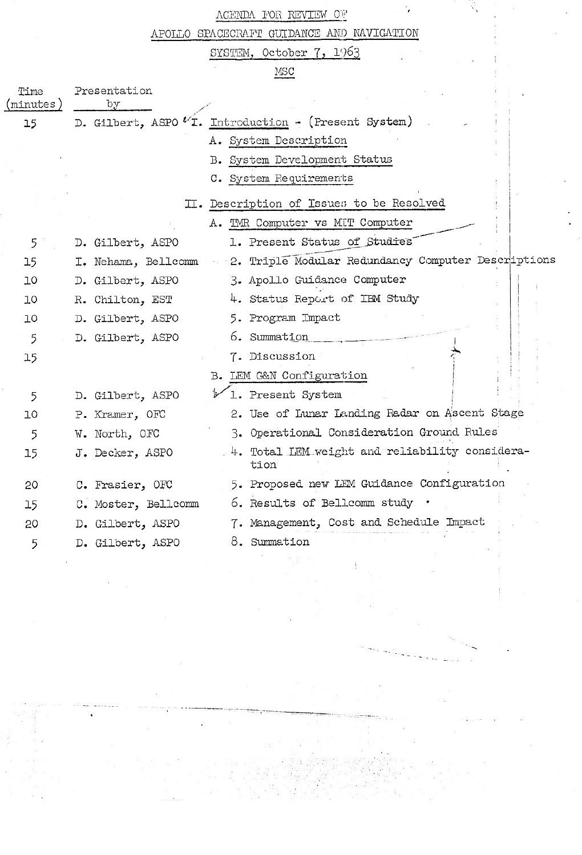# ACENDA FOR REVIEW OF

APOLLO SPACECRAFT GUIDANCE AND NAVIGATION

SYSTEM, October 7, 1963

MSC

| Time<br>(minutes) | Presentation<br>Ъy  |                                                        |
|-------------------|---------------------|--------------------------------------------------------|
| 15                |                     | D. Gilbert, ASPO 'I. Introduction - (Present System)   |
|                   |                     | A. System Description                                  |
|                   |                     | B. System Development Status                           |
|                   |                     | C. System Requirements                                 |
|                   |                     | II. Description of Issues to be Resolved               |
|                   |                     | A. TMR Computer vs MIT Computer                        |
| 5                 | D. Gilbert, ASPO    | 1. Present Status of Studies                           |
| 15                | I. Nehama, Bellcomm | - 2. Triple Modular Redundancy Computer Descriptions   |
| 10                | D. Gilbert, ASPO    | 3. Apollo Guidance Computer                            |
| 10                | R. Chilton, EST     | 4. Status Report of IBM Study                          |
| 10                | D. Gilbert, ASPO    | 5. Program Impact                                      |
| 5                 | D. Gilbert, ASPO    | 6. Summation                                           |
| 15                |                     | 7. Discussion                                          |
|                   |                     | B. LEM G&N Configuration                               |
| 5                 | D. Gilbert, ASPO    | 1. Present System                                      |
| ΊO                | P. Kramer, OFC      | 2. Use of Lunar Landing Radar on Ascent Stage          |
| 5                 | W. North, OFC       | 3. Operational Consideration Ground Rules              |
| 15                | J. Decker, ASPO     | 4. Total LEM weight and reliability considera-<br>tion |
| 20                | C. Frasier, OFC     | 5. Proposed new LEM Guidance Configuration             |
| 15                | C. Moster, Bellcomm | 6. Results of Bellcomm study .                         |
| 20                | D. Gilbert, ASPO    | 7. Management, Cost and Schedule Impact                |
| 5                 | D. Gilbert, ASPO    | 8. Summation                                           |
|                   |                     |                                                        |